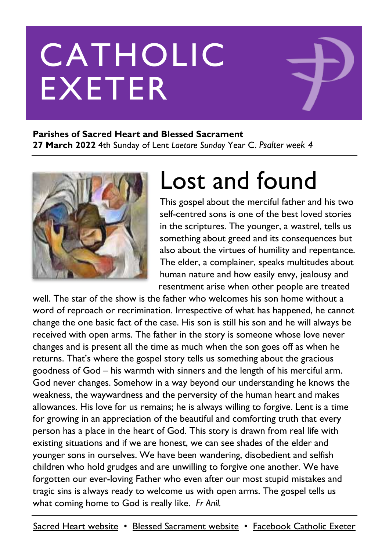# CATHOLIC EXETER

#### **Parishes of Sacred Heart and Blessed Sacrament**

**27 March 2022** 4th Sunday of Lent *Laetare Sunday* Year C. *Psalter week 4*



# Lost and found

This gospel about the merciful father and his two self-centred sons is one of the best loved stories in the scriptures. The younger, a wastrel, tells us something about greed and its consequences but also about the virtues of humility and repentance. The elder, a complainer, speaks multitudes about human nature and how easily envy, jealousy and resentment arise when other people are treated

well. The star of the show is the father who welcomes his son home without a word of reproach or recrimination. Irrespective of what has happened, he cannot change the one basic fact of the case. His son is still his son and he will always be received with open arms. The father in the story is someone whose love never changes and is present all the time as much when the son goes off as when he returns. That's where the gospel story tells us something about the gracious goodness of God – his warmth with sinners and the length of his merciful arm. God never changes. Somehow in a way beyond our understanding he knows the weakness, the waywardness and the perversity of the human heart and makes allowances. His love for us remains; he is always willing to forgive. Lent is a time for growing in an appreciation of the beautiful and comforting truth that every person has a place in the heart of God. This story is drawn from real life with existing situations and if we are honest, we can see shades of the elder and younger sons in ourselves. We have been wandering, disobedient and selfish children who hold grudges and are unwilling to forgive one another. We have forgotten our ever-loving Father who even after our most stupid mistakes and tragic sins is always ready to welcome us with open arms. The gospel tells us what coming home to God is really like. *Fr Anil.*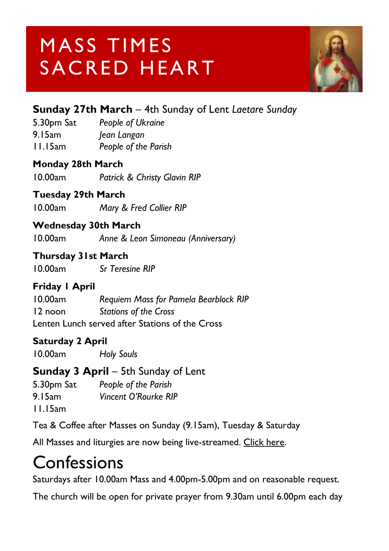# MASS TIMES SACRED HEART



#### **Sunday 27th March** – 4th Sunday of Lent *Laetare Sunday*

5.30pm Sat *People of Ukraine* 9.15am *Jean Langan* 11.15am *People of the Parish*

#### **Monday 28th March**

10.00am *Patrick & Christy Glavin RIP*

#### **Tuesday 29th March**

10.00am *Mary & Fred Collier RIP*

#### **Wednesday 30th March**

10.00am *Anne & Leon Simoneau (Anniversary)*

#### **Thursday 31st March**

10.00am *Sr Teresine RIP*

#### **Friday 1 April**

10.00am *Requiem Mass for Pamela Bearblock RIP* 12 noon *Stations of the Cross* Lenten Lunch served after Stations of the Cross

#### **Saturday 2 April**

10.00am *Holy Souls*

#### **Sunday 3 April** – 5th Sunday of Lent

5.30pm Sat *People of the Parish* 9.15am *Vincent O'Rourke RIP* 11.15am

Tea & Coffee after Masses on Sunday (9.15am), Tuesday & Saturday

All Masses and liturgies are now being live-streamed. [Click here.](https://www.youtube.com/channel/UCqZLydKWQ6CqG2utRNBeKmA)

# **Confessions**

Saturdays after 10.00am Mass and 4.00pm-5.00pm and on reasonable request.

The church will be open for private prayer from 9.30am until 6.00pm each day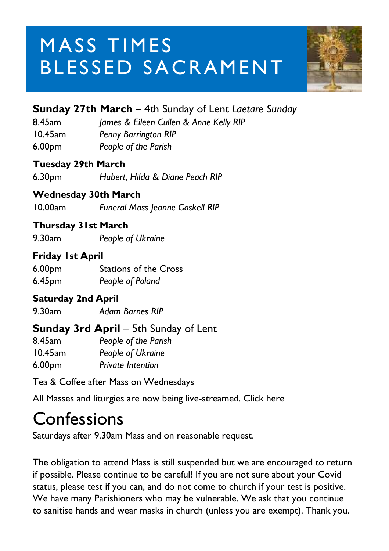# MASS TIMES BLESSED SACRAMENT



#### **Sunday 27th March** – 4th Sunday of Lent *Laetare Sunday*

| 8.45am  | James & Eileen Cullen & Anne Kelly RIP |
|---------|----------------------------------------|
| 10.45am | <b>Penny Barrington RIP</b>            |
| 6.00pm  | People of the Parish                   |

#### **Tuesday 29th March**

6.30pm *Hubert, Hilda & Diane Peach RIP*

#### **Wednesday 30th March**

10.00am *Funeral Mass Jeanne Gaskell RIP*

#### **Thursday 31st March**

9.30am *People of Ukraine*

#### **Friday 1st April**

6.00pm Stations of the Cross 6.45pm *People of Poland*

#### **Saturday 2nd April**

9.30am *Adam Barnes RIP*

#### **Sunday 3rd April** – 5th Sunday of Lent

8.45am *People of the Parish*  10.45am *People of Ukraine* 6.00pm *Private Intention*

Tea & Coffee after Mass on Wednesdays

All Masses and liturgies are now being live-streamed. [Click here](https://www.youtube.com/c/BlessedSacramentExeter)

### **Confessions**

Saturdays after 9.30am Mass and on reasonable request.

The obligation to attend Mass is still suspended but we are encouraged to return if possible. Please continue to be careful! If you are not sure about your Covid status, please test if you can, and do not come to church if your test is positive. We have many Parishioners who may be vulnerable. We ask that you continue to sanitise hands and wear masks in church (unless you are exempt). Thank you.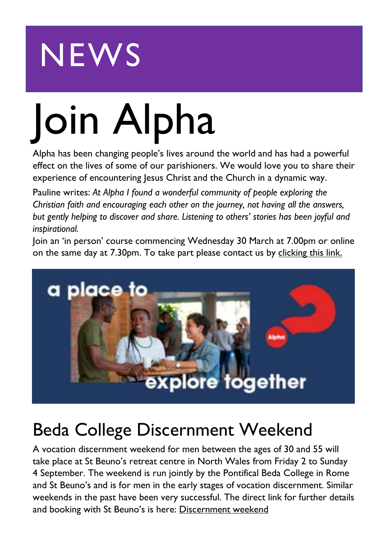# **NEWS**

# Join Alpha

Alpha has been changing people's lives around the world and has had a powerful effect on the lives of some of our parishioners. We would love you to share their experience of encountering Jesus Christ and the Church in a dynamic way.

Pauline writes: *At Alpha I found a wonderful community of people exploring the Christian faith and encouraging each other on the journey, not having all the answers, but gently helping to discover and share. Listening to others' stories has been joyful and inspirational.*

Join an 'in person' course commencing Wednesday 30 March at 7.00pm or online on the same day at 7.30pm. To take part please contact us by [clicking this link.](https://forms.gle/ox9872e6nAXT3Fec6)



# Beda College Discernment Weekend

A vocation discernment weekend for men between the ages of 30 and 55 will take place at St Beuno's retreat centre in North Wales from Friday 2 to Sunday 4 September. The weekend is run jointly by the Pontifical Beda College in Rome and St Beuno's and is for men in the early stages of vocation discernment. Similar weekends in the past have been very successful. The direct link for further details and booking with St Beuno's is here: [Discernment weekend](file:///C:/Users/administrator1/Documents/Catholic%20Exeter%20News/Discernment%20Weekend%20for%20Older%20Men%20|%20Pathways%20to%20God)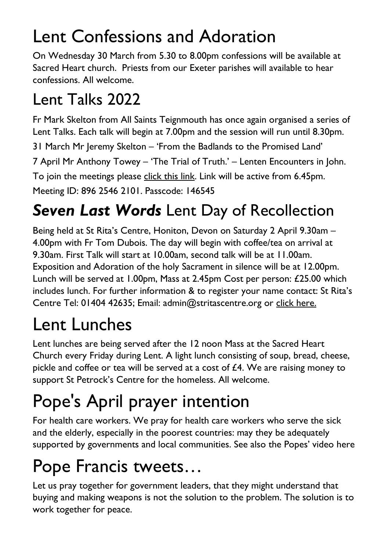# Lent Confessions and Adoration

On Wednesday 30 March from 5.30 to 8.00pm confessions will be available at Sacred Heart church. Priests from our Exeter parishes will available to hear confessions. All welcome.

## Lent Talks 2022

Fr Mark Skelton from All Saints Teignmouth has once again organised a series of Lent Talks. Each talk will begin at 7.00pm and the session will run until 8.30pm. 31 March Mr Jeremy Skelton – 'From the Badlands to the Promised Land' 7 April Mr Anthony Towey – 'The Trial of Truth.' – Lenten Encounters in John. To join the meetings please [click this link.](https://us02web.zoom.us/j/89625462101?pwd=OXpMSUU1TzQ4Z0tJTyt6WFpLaFdTZz09) Link will be active from 6.45pm. Meeting ID: 896 2546 2101. Passcode: 146545

## *Seven Last Words* Lent Day of Recollection

Being held at St Rita's Centre, Honiton, Devon on Saturday 2 April 9.30am – 4.00pm with Fr Tom Dubois. The day will begin with coffee/tea on arrival at 9.30am. First Talk will start at 10.00am, second talk will be at 11.00am. Exposition and Adoration of the holy Sacrament in silence will be at 12.00pm. Lunch will be served at 1.00pm, Mass at 2.45pm Cost per person: £25.00 which includes lunch. For further information & to register your name contact: St Rita's Centre Tel: 01404 42635; Email: admin@stritascentre.org or [click here.](https://www.stritascentre.org/events/lent-retreat-day-seven-last-words)

# Lent Lunches

Lent lunches are being served after the 12 noon Mass at the Sacred Heart Church every Friday during Lent. A light lunch consisting of soup, bread, cheese, pickle and coffee or tea will be served at a cost of  $£4$ . We are raising money to support St Petrock's Centre for the homeless. All welcome.

# Pope's April prayer intention

For health care workers. We pray for health care workers who serve the sick and the elderly, especially in the poorest countries: may they be adequately supported by governments and local communities. See also the Popes' video [here](https://thepopevideo.org/)

# Pope Francis tweets…

Let us pray together for government leaders, that they might understand that buying and making weapons is not the solution to the problem. The solution is to work together for peace.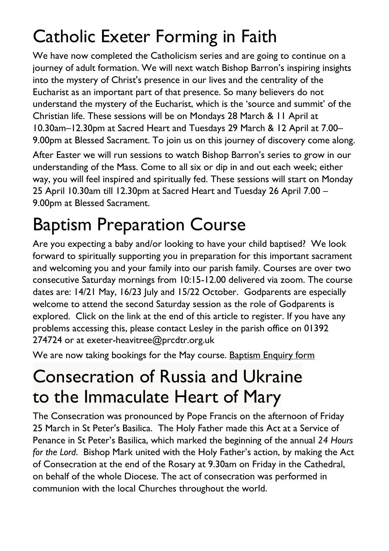# Catholic Exeter Forming in Faith

We have now completed the Catholicism series and are going to continue on a journey of adult formation. We will next watch Bishop Barron's inspiring insights into the mystery of Christ's presence in our lives and the centrality of the Eucharist as an important part of that presence. So many believers do not understand the mystery of the Eucharist, which is the 'source and summit' of the Christian life. These sessions will be on Mondays 28 March & 11 April at 10.30am–12.30pm at Sacred Heart and Tuesdays 29 March & 12 April at 7.00– 9.00pm at Blessed Sacrament. To join us on this journey of discovery come along. After Easter we will run sessions to watch Bishop Barron's series to grow in our

understanding of the Mass. Come to all six or dip in and out each week; either way, you will feel inspired and spiritually fed. These sessions will start on Monday 25 April 10.30am till 12.30pm at Sacred Heart and Tuesday 26 April 7.00 – 9.00pm at Blessed Sacrament.

# Baptism Preparation Course

Are you expecting a baby and/or looking to have your child baptised? We look forward to spiritually supporting you in preparation for this important sacrament and welcoming you and your family into our parish family. Courses are over two consecutive Saturday mornings from 10:15-12.00 delivered via zoom. The course dates are: 14/21 May, 16/23 July and 15/22 October. Godparents are especially welcome to attend the second Saturday session as the role of Godparents is explored. Click on the link at the end of this article to register. If you have any problems accessing this, please contact Lesley in the parish office on 01392 274724 or at [exeter-heavitree@prcdtr.org.uk](mailto:Exeter-heavitree@prcdtr.org.uk)

We are now taking bookings for the May course. [Baptism Enquiry form](https://docs.google.com/forms/d/1bgbx-gDVZaqwyjbRS6c6lJrCh2Jt-5ZQYy-1tPBwM4g/edit)

## Consecration of Russia and Ukraine to the Immaculate Heart of Mary

The Consecration was pronounced by Pope Francis on the afternoon of Friday 25 March in St Peter's Basilica. The Holy Father made this Act at a Service of Penance in St Peter's Basilica, which marked the beginning of the annual *24 Hours for the Lord*. Bishop Mark united with the Holy Father's action, by making the Act of Consecration at the end of the Rosary at 9.30am on Friday in the Cathedral, on behalf of the whole Diocese. The act of consecration was performed in communion with the local Churches throughout the world.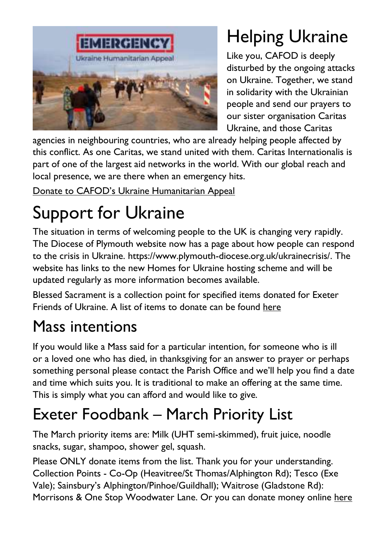

# Helping Ukraine

Like you, CAFOD is deeply disturbed by the ongoing attacks on Ukraine. Together, we stand in solidarity with the Ukrainian people and send our prayers to our sister organisation Caritas Ukraine, and those Caritas

agencies in neighbouring countries, who are already helping people affected by this conflict. As one Caritas, we stand united with them. Caritas Internationalis is part of one of the largest aid networks in the world. With our global reach and local presence, we are there when an emergency hits.

[Donate to CAFOD's Ukraine Humanitarian Appeal](https://cafod.org.uk/donations/picker?defaultuniversaltype=single&_Appeal=123770)

# Support for Ukraine

The situation in terms of welcoming people to the UK is changing very rapidly. The Diocese of Plymouth website now has a page about how people can respond to the crisis in Ukraine. [https://www.plymouth-diocese.org.uk/ukrainecrisis/.](https://www.plymouth-diocese.org.uk/ukrainecrisis/) The website has links to the new Homes for Ukraine hosting scheme and will be updated regularly as more information becomes available.

Blessed Sacrament is a collection point for specified items donated for Exeter Friends of Ukraine. A list of items to donate can be found [here](https://www.facebook.com/Exeter-Friends-of-Ukraine-101409902499415)

### Mass intentions

If you would like a Mass said for a particular intention, for someone who is ill or a loved one who has died, in thanksgiving for an answer to prayer or perhaps something personal please contact the Parish Office and we'll help you find a date and time which suits you. It is traditional to make an offering at the same time. This is simply what you can afford and would like to give.

## Exeter Foodbank – March Priority List

The March priority items are: Milk (UHT semi-skimmed), fruit juice, noodle snacks, sugar, shampoo, shower gel, squash.

Please ONLY donate items from the list. Thank you for your understanding. Collection Points - Co-Op (Heavitree/St Thomas/Alphington Rd); Tesco (Exe Vale); Sainsbury's Alphington/Pinhoe/Guildhall); Waitrose (Gladstone Rd): Morrisons & One Stop Woodwater Lane. Or you can donate money online [here](https://uk.virginmoneygiving.com/charity-web/charity/finalCharityHomepage.action?charityId=1016975&_ga=2.106832579.1384579075.1617955505-1667813714.1617955505)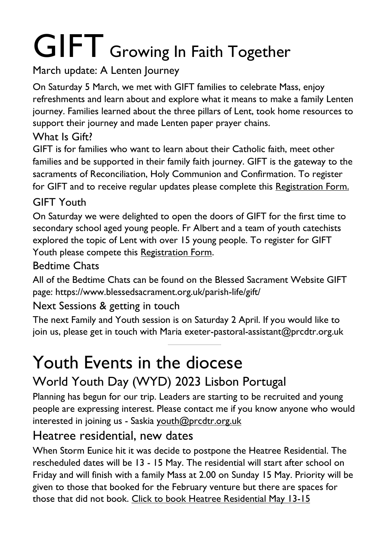# GIFT Growing In Faith Together

#### March update: A Lenten Journey

On Saturday 5 March, we met with GIFT families to celebrate Mass, enjoy refreshments and learn about and explore what it means to make a family Lenten journey. Families learned about the three pillars of Lent, took home resources to support their journey and made Lenten paper prayer chains.

#### What Is Gift?

GIFT is for families who want to learn about their Catholic faith, meet other families and be supported in their family faith journey. GIFT is the gateway to the sacraments of Reconciliation, Holy Communion and Confirmation. To register for GIFT and to receive regular updates please complete this [Registration](https://docs.google.com/forms/d/1Qs8jP69t9hS5V3ukZvm34yn8pDZdS0iDYrhXY_j8pMQ/edit) Form.

#### GIFT Youth

On Saturday we were delighted to open the doors of GIFT for the first time to secondary school aged young people. Fr Albert and a team of youth catechists explored the topic of Lent with over 15 young people. To register for GIFT Youth please compete this [Registration Form.](https://docs.google.com/forms/d/1js2AU2QewgH1ui7kjv2-mKDJcyulRGa34G-Eo3ao8FI/edit)

#### Bedtime Chats

All of the Bedtime Chats can be found on the Blessed Sacrament Website GIFT page: https://www.blessedsacrament.org.uk/parish-life/gift/

#### Next Sessions & getting in touch

The next Family and Youth session is on Saturday 2 April. If you would like to join us, please get in touch with Maria exeter-pastoral-assistant@prcdtr.org.uk

# Youth Events in the diocese

#### World Youth Day (WYD) 2023 Lisbon Portugal

Planning has begun for our trip. Leaders are starting to be recruited and young people are expressing interest. Please contact me if you know anyone who would interested in joining us - Saskia [youth@prcdtr.org.uk](mailto:youth@prcdtr.org.uk)

#### Heatree residential, new dates

When Storm Eunice hit it was decide to postpone the Heatree Residential. The rescheduled dates will be 13 - 15 May. The residential will start after school on Friday and will finish with a family Mass at 2.00 on Sunday 15 May. Priority will be given to those that booked for the February venture but there are spaces for those that did not book. [Click to book Heatree Residential May 13-15](https://linkprotect.cudasvc.com/url?a=https%3a%2f%2femail.workwithgusto.co.uk%2ft%2ft-l-qobz-jliihdujhk-t%2f&c=E,1,uTd0l8Q_M52Y_ElGkKKS0VyY-UpsQ5VmxTBtyAkC4U6lvj9hJdTURkr9WlUnW52p2yAR3fLdGROZ96NnLzDqYorCr5NK_xcxze5Ssc74_zhVnQ,,&typo=1)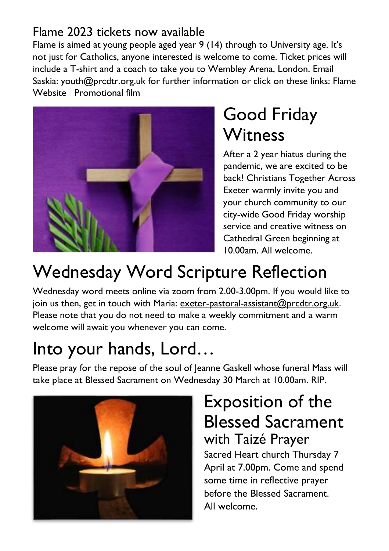#### Flame 2023 tickets now available

Flame is aimed at young people aged year 9 (14) through to University age. It's not just for Catholics, anyone interested is welcome to come. Ticket prices will include a T-shirt and a coach to take you to Wembley Arena, London. Email Saskia: [youth@prcdtr.org.uk](mailto:youth@prcdtr.org.uk) for further information or click on these links: [Flame](https://linkprotect.cudasvc.com/url?a=https%3a%2f%2femail.workwithgusto.co.uk%2ft%2ft-l-qctujk-jlhtkkath-r%2f&c=E,1,Blk2ycDETYSiwjdC8Eum_yXBXPyalX-b89WAcrqe2YMLelINKYiJZh6-LBH8JPoujeqNupfBVu_8vYI4vpIXwhWWATVyeEad53kAGgn5xuT7TYzo2Q,,&typo=1)  [Website](https://linkprotect.cudasvc.com/url?a=https%3a%2f%2femail.workwithgusto.co.uk%2ft%2ft-l-qctujk-jlhtkkath-r%2f&c=E,1,Blk2ycDETYSiwjdC8Eum_yXBXPyalX-b89WAcrqe2YMLelINKYiJZh6-LBH8JPoujeqNupfBVu_8vYI4vpIXwhWWATVyeEad53kAGgn5xuT7TYzo2Q,,&typo=1) [Promotional film](https://linkprotect.cudasvc.com/url?a=https%3a%2f%2femail.workwithgusto.co.uk%2ft%2ft-l-qctujk-jlhtkkath-y%2f&c=E,1,rIvCM-_EoOgTFmoiIkP33YW-SOr8YUpMgm9NEH62Sf6r8PBeBsWMEJhbgWpvbWucEgfJGlNF6hB_p1XuDAwT-WGz6WIdU1aCJs7rjEZ5CHEWhAI,&typo=1)



## Good Friday **Witness**

After a 2 year hiatus during the pandemic, we are excited to be back! Christians Together Across Exeter warmly invite you and your church community to our city-wide Good Friday worship service and creative witness on Cathedral Green beginning at 10.00am. All welcome.

# Wednesday Word Scripture Reflection

Wednesday word meets online via zoom from 2.00-3.00pm. If you would like to join us then, get in touch with Maria: [exeter-pastoral-assistant@prcdtr.org.uk.](mailto:exeter-pastoral-assistant@prcdtr.org.uk) Please note that you do not need to make a weekly commitment and a warm welcome will await you whenever you can come.

# Into your hands, Lord…

Please pray for the repose of the soul of Jeanne Gaskell whose funeral Mass will take place at Blessed Sacrament on Wednesday 30 March at 10.00am. RIP.



### Exposition of the Blessed Sacrament with Taizé Prayer

Sacred Heart church Thursday 7 April at 7.00pm. Come and spend some time in reflective prayer before the Blessed Sacrament. All welcome.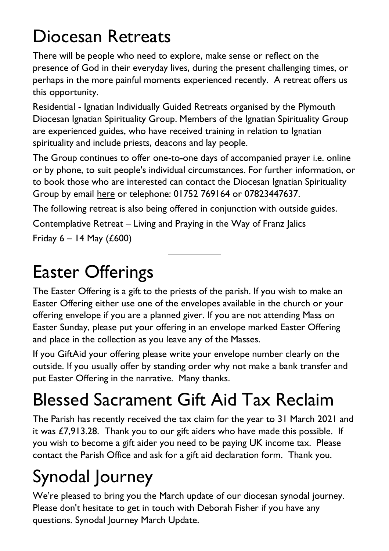# Diocesan Retreats

There will be people who need to explore, make sense or reflect on the presence of God in their everyday lives, during the present challenging times, or perhaps in the more painful moments experienced recently. A retreat offers us this opportunity.

Residential - Ignatian Individually Guided Retreats organised by the Plymouth Diocesan Ignatian Spirituality Group. Members of the Ignatian Spirituality Group are experienced guides, who have received training in relation to Ignatian spirituality and include priests, deacons and lay people.

The Group continues to offer one-to-one days of accompanied prayer i.e. online or by phone, to suit people's individual circumstances. For further information, or to book those who are interested can contact the Diocesan Ignatian Spirituality Group by email [here](mailto:diocesan-ignatian-retreats@prcdtr.org.uk) or telephone: 01752 769164 or 07823447637.

The following retreat is also being offered in conjunction with outside guides.

Contemplative Retreat – Living and Praying in the Way of Franz Jalics

Friday  $6 - 14$  May (£600)

# Easter Offerings

The Easter Offering is a gift to the priests of the parish. If you wish to make an Easter Offering either use one of the envelopes available in the church or your offering envelope if you are a planned giver. If you are not attending Mass on Easter Sunday, please put your offering in an envelope marked Easter Offering and place in the collection as you leave any of the Masses.

If you GiftAid your offering please write your envelope number clearly on the outside. If you usually offer by standing order why not make a bank transfer and put Easter Offering in the narrative. Many thanks.

# Blessed Sacrament Gift Aid Tax Reclaim

The Parish has recently received the tax claim for the year to 31 March 2021 and it was £7,913.28. Thank you to our gift aiders who have made this possible. If you wish to become a gift aider you need to be paying UK income tax. Please contact the Parish Office and ask for a gift aid declaration form. Thank you.

# Synodal Journey

We're pleased to bring you the March update of our diocesan synodal journey. Please don't hesitate to get in touch with Deborah Fisher if you have any questions. [Synodal Journey March Update.](https://www.plymouth-diocese.org.uk/wp-content/uploads/2022/03/March-newsletter-2022-1.pdf)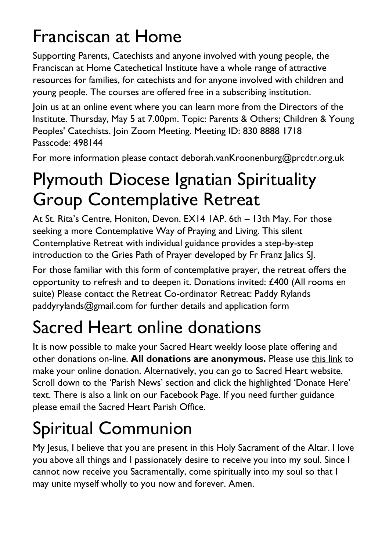# Franciscan at Home

Supporting Parents, Catechists and anyone involved with young people, the Franciscan at Home Catechetical Institute have a whole range of attractive resources for families, for catechists and for anyone involved with children and young people. The courses are offered free in a subscribing institution.

Join us at an online event where you can learn more from the Directors of the Institute. Thursday, May 5 at 7.00pm. Topic: Parents & Others; Children & Young Peoples' Catechists. [Join Zoom Meeting.](https://us02web.zoom.us/j/83088881718?pwd=dkMxTmRwYUkvMnBBNEhmdzdXOXZMdz09) Meeting ID: 830 8888 1718 Passcode: 498144

For more information please contact [deborah.vanKroonenburg@prcdtr.org.uk](mailto:deborah.vanKroonenburg@prcdtr.org.uk)

## Plymouth Diocese Ignatian Spirituality Group Contemplative Retreat

At St. Rita's Centre, Honiton, Devon. EX14 1AP. 6th – 13th May. For those seeking a more Contemplative Way of Praying and Living. This silent Contemplative Retreat with individual guidance provides a step-by-step introduction to the Gries Path of Prayer developed by Fr Franz Jalics SJ.

For those familiar with this form of contemplative prayer, the retreat offers the opportunity to refresh and to deepen it. Donations invited: £400 (All rooms en suite) Please contact the Retreat Co-ordinator Retreat: Paddy Rylands paddyrylands@gmail.com for further details and application form

# Sacred Heart online donations

It is now possible to make your Sacred Heart weekly loose plate offering and other donations on-line. **All donations are anonymous.** Please use [this link](https://givealittle.co/campaigns/f94e8739-d2fd-4ce6-9fca60470ef39403) to make your online donation. Alternatively, you can go to [Sacred Heart website.](https://www.sacredheartexeter.org/) Scroll down to the 'Parish News' section and click the highlighted 'Donate Here' text. There is also a link on our **Facebook Page**. If you need further guidance please email the Sacred Heart Parish Office.

# Spiritual Communion

My Jesus, I believe that you are present in this Holy Sacrament of the Altar. I love you above all things and I passionately desire to receive you into my soul. Since I cannot now receive you Sacramentally, come spiritually into my soul so that I may unite myself wholly to you now and forever. Amen.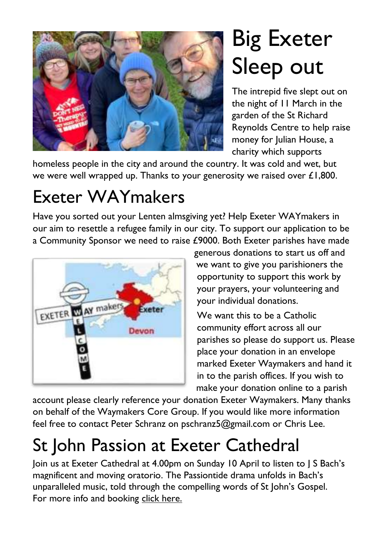

# Big Exeter Sleep out

The intrepid five slept out on the night of 11 March in the garden of the St Richard Reynolds Centre to help raise money for Julian House, a charity which supports

homeless people in the city and around the country. It was cold and wet, but we were well wrapped up. Thanks to your generosity we raised over £1,800.

# Exeter WAYmakers

Have you sorted out your Lenten almsgiving yet? Help Exeter WAYmakers in our aim to resettle a refugee family in our city. To support our application to be a Community Sponsor we need to raise £9000. Both Exeter parishes have made



generous donations to start us off and we want to give you parishioners the opportunity to support this work by your prayers, your volunteering and your individual donations.

We want this to be a Catholic community effort across all our parishes so please do support us. Please place your donation in an envelope marked Exeter Waymakers and hand it in to the parish offices. If you wish to make your donation online to a parish

account please clearly reference your donation Exeter Waymakers. Many thanks on behalf of the Waymakers Core Group. If you would like more information feel free to contact Peter Schranz on pschranz5@gmail.com or Chris Lee.

# St John Passion at Exeter Cathedral

Join us at Exeter Cathedral at 4.00pm on Sunday 10 April to listen to J S Bach's magnificent and moving oratorio. The Passiontide drama unfolds in Bach's unparalleled music, told through the compelling words of St John's Gospel. For more info and booking [click here.](https://www.exeter-cathedral.org.uk/whats-on/events/j-s-bach-st-john-passion-20220410-160000/)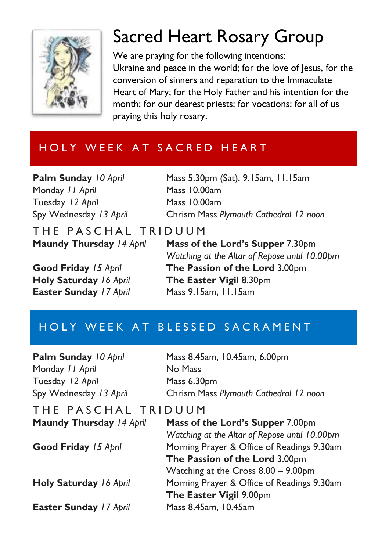

# Sacred Heart Rosary Group

We are praying for the following intentions: Ukraine and peace in the world; for the love of lesus, for the conversion of sinners and reparation to the Immaculate Heart of Mary; for the Holy Father and his intention for the month; for our dearest priests; for vocations; for all of us praying this holy rosary.

#### HOLY WEEK AT SACRED HEART

**Palm Sunday** *10 April* Mass 5.30pm (Sat), 9.15am, 11.15am Monday *11 April* Mass 10.00am Tuesday *12 April* Mass 10.00am Spy Wednesday *13 April* Chrism Mass *Plymouth Cathedral 12 noon* T H E P A S C H A L T R I D U U M **Maundy Thursday** *14 April* **Mass of the Lord's Supper** 7.30pm *Watching at the Altar of Repose until 10.00pm* **Good Friday** *15 April* **The Passion of the Lord** 3.00pm **Holy Saturday** *16 April* **The Easter Vigil** 8.30pm **Easter Sunday** *17 April* Mass 9.15am, 11.15am

#### HOLY WEEK AT BLESSED SACRAMENT

Monday *11 April* No Mass Tuesday *12 April* Mass 6.30pm

**Palm Sunday** *10 April* Mass 8.45am, 10.45am, 6.00pm Spy Wednesday *13 April* Chrism Mass *Plymouth Cathedral 12 noon*

| THE PASCHAL TRIDUUM                           |
|-----------------------------------------------|
| Mass of the Lord's Supper 7.00pm              |
| Watching at the Altar of Repose until 10.00pm |
| Morning Prayer & Office of Readings 9.30am    |
| The Passion of the Lord 3.00pm                |
| Watching at the Cross 8.00 - 9.00pm           |
| Morning Prayer & Office of Readings 9.30am    |
| The Easter Vigil 9.00pm                       |
| Mass 8.45am, 10.45am                          |
|                                               |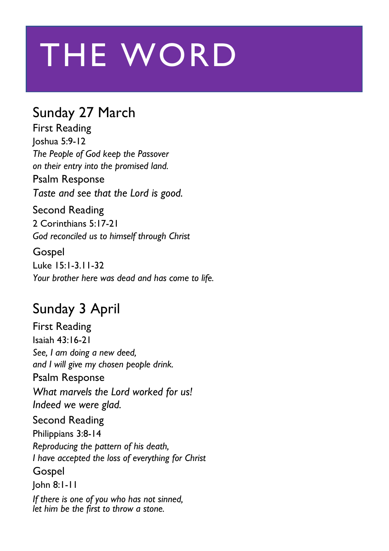# THE WORD

#### Sunday 27 March

First Reading Joshua 5:9-12 *The People of God keep the Passover on their entry into the promised land.* Psalm Response

*Taste and see that the Lord is good.*

Second Reading 2 Corinthians 5:17-21 *God reconciled us to himself through Christ*

Gospel Luke 15:1-3.11-32 *Your brother here was dead and has come to life.*

#### Sunday 3 April

First Reading Isaiah 43:16-21 *See, I am doing a new deed, and I will give my chosen people drink.* Psalm Response *What marvels the Lord worked for us! Indeed we were glad.* Second Reading Philippians 3:8-14 *Reproducing the pattern of his death, I have accepted the loss of everything for Christ* Gospel John 8:1-11 *If there is one of you who has not sinned,* 

*let him be the first to throw a stone.*